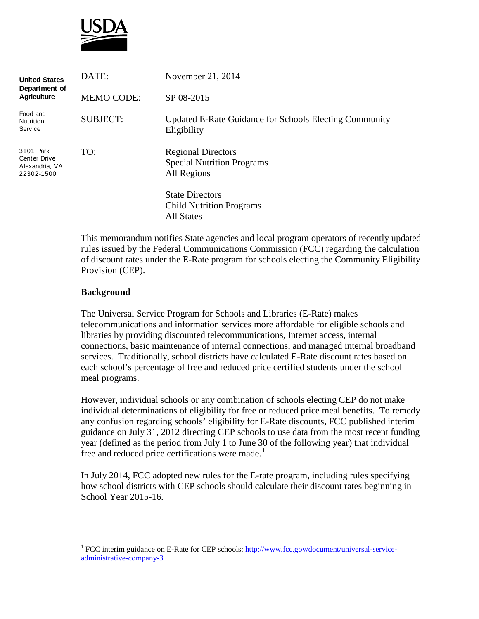

| <b>United States</b><br>Department of<br><b>Agriculture</b>      | DATE:             | November 21, 2014                                                              |
|------------------------------------------------------------------|-------------------|--------------------------------------------------------------------------------|
|                                                                  | <b>MEMO CODE:</b> | SP 08-2015                                                                     |
| Food and<br>Nutrition<br>Service                                 | <b>SUBJECT:</b>   | Updated E-Rate Guidance for Schools Electing Community<br>Eligibility          |
| 3101 Park<br><b>Center Drive</b><br>Alexandria, VA<br>22302-1500 | TO:               | <b>Regional Directors</b><br><b>Special Nutrition Programs</b><br>All Regions  |
|                                                                  |                   | <b>State Directors</b><br><b>Child Nutrition Programs</b><br><b>All States</b> |

This memorandum notifies State agencies and local program operators of recently updated rules issued by the Federal Communications Commission (FCC) regarding the calculation of discount rates under the E-Rate program for schools electing the Community Eligibility Provision (CEP).

### **Background**

The Universal Service Program for Schools and Libraries (E-Rate) makes telecommunications and information services more affordable for eligible schools and libraries by providing discounted telecommunications, Internet access, internal connections, basic maintenance of internal connections, and managed internal broadband services. Traditionally, school districts have calculated E-Rate discount rates based on each school's percentage of free and reduced price certified students under the school meal programs.

However, individual schools or any combination of schools electing CEP do not make individual determinations of eligibility for free or reduced price meal benefits. To remedy any confusion regarding schools' eligibility for E-Rate discounts, FCC published interim guidance on July 31, 2012 directing CEP schools to use data from the most recent funding year (defined as the period from July 1 to June 30 of the following year) that individual free and reduced price certifications were made.<sup>[1](#page-0-0)</sup>

In July 2014, FCC adopted new rules for the E-rate program, including rules specifying how school districts with CEP schools should calculate their discount rates beginning in School Year 2015-16.

<span id="page-0-0"></span> <sup>1</sup> FCC interim guidance on E-Rate for CEP schools[: http://www.fcc.gov/document/universal-service](http://www.fcc.gov/document/universal-service-administrative-company-3)[administrative-company-3](http://www.fcc.gov/document/universal-service-administrative-company-3)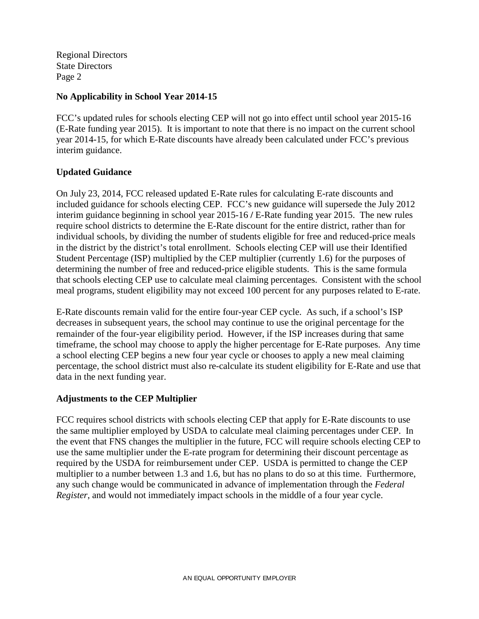Regional Directors State Directors Page 2

## **No Applicability in School Year 2014-15**

FCC's updated rules for schools electing CEP will not go into effect until school year 2015-16 (E-Rate funding year 2015). It is important to note that there is no impact on the current school year 2014-15, for which E-Rate discounts have already been calculated under FCC's previous interim guidance.

# **Updated Guidance**

On July 23, 2014, FCC released updated E-Rate rules for calculating E-rate discounts and included guidance for schools electing CEP. FCC's new guidance will supersede the July 2012 interim guidance beginning in school year 2015-16 **/** E-Rate funding year 2015. The new rules require school districts to determine the E-Rate discount for the entire district, rather than for individual schools, by dividing the number of students eligible for free and reduced-price meals in the district by the district's total enrollment. Schools electing CEP will use their Identified Student Percentage (ISP) multiplied by the CEP multiplier (currently 1.6) for the purposes of determining the number of free and reduced-price eligible students. This is the same formula that schools electing CEP use to calculate meal claiming percentages. Consistent with the school meal programs, student eligibility may not exceed 100 percent for any purposes related to E-rate.

E-Rate discounts remain valid for the entire four-year CEP cycle. As such, if a school's ISP decreases in subsequent years, the school may continue to use the original percentage for the remainder of the four-year eligibility period. However, if the ISP increases during that same timeframe, the school may choose to apply the higher percentage for E-Rate purposes. Any time a school electing CEP begins a new four year cycle or chooses to apply a new meal claiming percentage, the school district must also re-calculate its student eligibility for E-Rate and use that data in the next funding year.

### **Adjustments to the CEP Multiplier**

FCC requires school districts with schools electing CEP that apply for E-Rate discounts to use the same multiplier employed by USDA to calculate meal claiming percentages under CEP. In the event that FNS changes the multiplier in the future, FCC will require schools electing CEP to use the same multiplier under the E-rate program for determining their discount percentage as required by the USDA for reimbursement under CEP. USDA is permitted to change the CEP multiplier to a number between 1.3 and 1.6, but has no plans to do so at this time. Furthermore, any such change would be communicated in advance of implementation through the *Federal Register*, and would not immediately impact schools in the middle of a four year cycle.